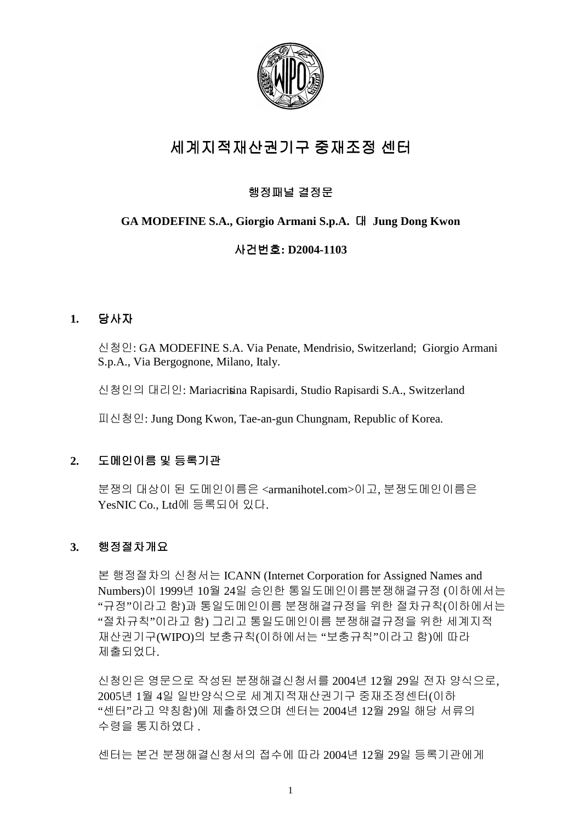

# 세계지적재산권기구 중재조정 센터

# 행정패널 결정문

# **GA MODEFINE S.A., Giorgio Armani S.p.A. Jung Dong Kwon**

# ㇠ᶨⶼ䝬**: D2004-1103**

# **1.** ㇠㣄

㐔㷡㢬: GA MODEFINE S.A. Via Penate, Mendrisio, Switzerland; Giorgio Armani S.p.A., Via Bergognone, Milano, Italy.

신청인의 대리인: Mariacritina Rapisardi, Studio Rapisardi S.A., Switzerland

䙰㐔㷡㢬: Jung Dong Kwon, Tae-an-gun Chungnam, Republic of Korea.

# 2. 도메인이름 및 등록기관

분쟁의 대상이 된 도메인이름은 <armanihotel.com>이고, 분쟁도메인이름은 YesNIC Co., Ltd에 등록되어 있다.

# **3.** 䚽㥉㤼㵜ᵐ㟈

본 행정절차의 신청서는 ICANN (Internet Corporation for Assigned Names and Numbers)이 1999년 10월 24일 승인한 통일도메인이름분쟁해결규정 (이하에서는 "규정"이라고 함)과 통일도메인이름 분쟁해결규정을 위한 절차규칙(이하에서는 "절차규칙"이라고 함) 그리고 통일도메인이름 분쟁해결규정을 위한 세계지적 재산권기구(WIPO)의 보충규칙(이하에서는 "보충규칙"이라고 함)에 따라 제출되었다.

신청인은 영문으로 작성된 분쟁해결신청서를 2004년 12월 29일 전자 양식으로, 2005년 1월 4일 일반양식으로 세계지적재산권기구 중재조정센터(이하 "센터"라고 약칭함)에 제출하였으며 센터는 2004년 12월 29일 해당 서류의 수령을 통지하였다.

센터는 본건 분쟁해결신청서의 접수에 따라 2004년 12월 29일 등록기관에게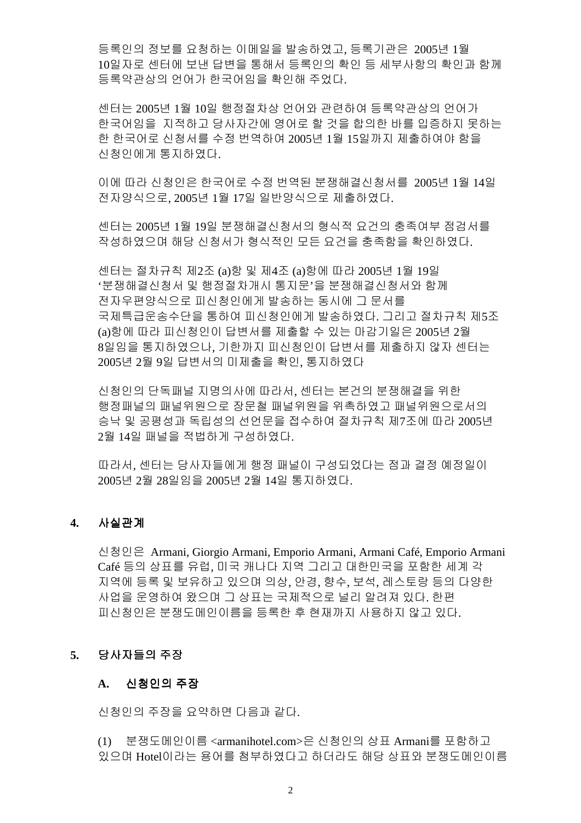등록인의 정보를 요청하는 이메일을 발송하였고, 등록기관은 2005년 1월 10일자로 센터에 보낸 답변을 통해서 등록인의 확인 등 세부사항의 확인과 함께 등록약관상의 언어가 한국어임을 확인해 주었다.

센터는 2005년 1월 10일 행정절차상 언어와 관련하여 등록약관상의 언어가 한국어임을 지적하고 당사자간에 영어로 할 것을 합의한 바를 입증하지 못하는 한 한국어로 신청서를 수정 번역하여 2005년 1월 15일까지 제출하여야 함을 신청인에게 통지하였다.

이에 따라 신청인은 한국어로 수정 번역된 분쟁해결신청서를 2005년 1월 14일 전자양식으로, 2005년 1월 17일 일반양식으로 제출하였다.

센터는 2005년 1월 19일 분쟁해결신청서의 형식적 요건의 충족여부 점검서를 작성하였으며 해당 신청서가 형식적인 모든 요건을 충족함을 확인하였다.

센터는 절차규칙 제2조 (a)항 및 제4조 (a)항에 따라 2005년 1월 19일 '분쟁해결신청서 및 행정절차개시 통지문'을 분쟁해결신청서와 함께 전자우편양식으로 피신청인에게 발송하는 동시에 그 문서를 국제특급운송수단을 통하여 피신청인에게 발송하였다. 그리고 절차규칙 제5조 (a)항에 따라 피신청인이 답변서를 제출할 수 있는 마감기일은 2005년 2월 8일임을 통지하였으나, 기한까지 피신청인이 답변서를 제출하지 않자 센터는 2005년 2월 9일 답변서의 미제출을 확인, 통지하였다

신청인의 단독패널 지명의사에 따라서, 센터는 본건의 분쟁해결을 위한 행정패널의 패널위원으로 장문철 패널위원을 위촉하였고 패널위원으로서의 승낙 및 공평성과 독립성의 선언문을 접수하여 절차규칙 제7조에 따라 2005년 2월 14일 패널을 적법하게 구성하였다.

따라서, 센터는 당사자들에게 행정 패널이 구성되었다는 점과 결정 예정일이 2005≸ 2㠈 28㢰㢸㡸 2005≸ 2㠈 14㢰 䋩㫴䚌㜴␘.

# 4. 사실관계

㐔㷡㢬㡴 Armani, Giorgio Armani, Emporio Armani, Armani Café, Emporio Armani Café 등의 상표를 유럽, 미국 캐나다 지역 그리고 대한민국을 포함한 세계 각 지역에 등록 및 보유하고 있으며 의상, 안경, 향수, 보석, 레스토랑 등의 다양한 사업을 운영하여 왔으며 그 상표는 국제적으로 널리 알려져 있다. 한편 피신청인은 분쟁도메인이름을 등록한 후 현재까지 사용하지 않고 있다.

## **5.** ㇠㣄☘㢌 㨰㣙

# **A.** 㐔㷡㢬㢌 㨰㣙

신청인의 주장을 요약하면 다음과 같다.

(1) 분쟁도메인이름<armanihotel.com>은 신청인의 상표 Armani를 포함하고 있으며 Hotel이라는 용어를 첨부하였다고 하더라도 해당 상표와 분쟁도메인이름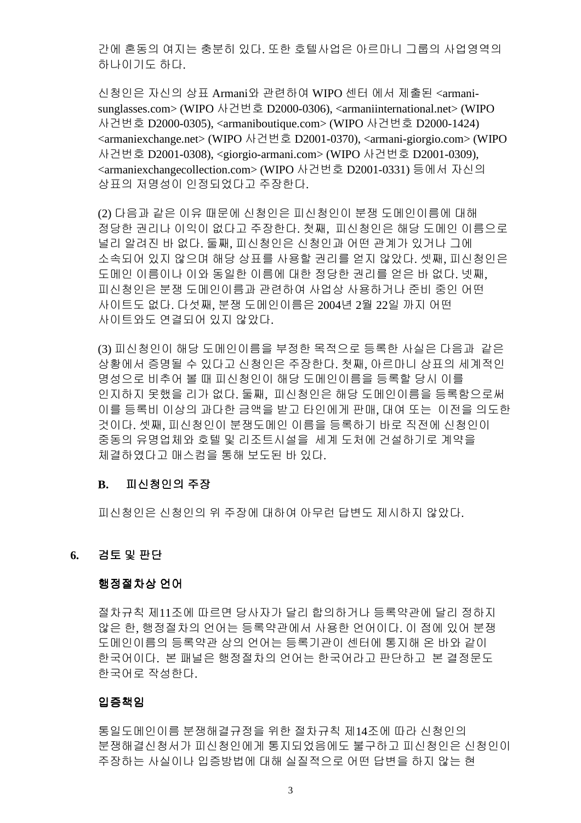간에 혼동의 여지는 충분히 있다. 또한 호텔사업은 아르마니 그룹의 사업영역의 하나이기도 하다.

신청인은 자신의 상표 Armani와 관련하여 WIPO 센터 에서 제출된 <armanisunglasses.com> (WIPO 사건번호 D2000-0306), <armaniinternational.net> (WIPO ㇠ᶨⶼ䝬 D2000-0305), <armaniboutique.com> (WIPO ㇠ᶨⶼ䝬 D2000-1424) <armaniexchange.net> (WIPO ㇠ᶨⶼ䝬 D2001-0370), <armani-giorgio.com> (WIPO ㇠ᶨⶼ䝬 D2001-0308), <giorgio-armani.com> (WIPO ㇠ᶨⶼ䝬 D2001-0309), <armaniexchangecollection.com> (WIPO 사건번호 D2001-0331) 등에서 자신의 상표의 저명성이 인정되었다고 주장한다.

(2) 다음과 같은 이유 때문에 신청인은 피신청인이 분쟁 도메인이름에 대해 정당한 권리나 이익이 없다고 주장한다. 첫째, 피신청인은 해당 도메인 이름으로 널리 알려진 바 없다. 둘째, 피신청인은 신청인과 어떤 관계가 있거나 그에 소속되어 있지 않으며 해당 상표를 사용할 권리를 얻지 않았다. 셋째, 피신청인은 도메인 이름이나 이와 동일한 이름에 대한 정당한 권리를 얻은 바 없다. 넷째, 피신청인은 분쟁 도메인이름과 관련하여 사업상 사용하거나 준비 중인 어떤 사이트도 없다. 다섯째, 분쟁 도메인이름은 2004년 2월 22일 까지 어떤 사이트와도 연결되어 있지 않았다.

(3) 피신청인이 해당 도메인이름을 부정한 목적으로 등록한 사실은 다음과 같은 상황에서 증명될 수 있다고 신청인은 주장한다. 첫째, 아르마니 상표의 세계적인 명성으로 비추어 볼 때 피신청인이 해당 도메인이름을 등록할 당시 이를 인지하지 못했을 리가 없다. 둘째, 피신청인은 해당 도메인이름을 등록함으로써 이를 등록비 이상의 과다한 금액을 받고 타인에게 판매, 대여 또는 이전을 의도한 것이다. 셋째, 피신청인이 분쟁도메인 이름을 등록하기 바로 직전에 신청인이 중동의 유명업체와 호텔 및 리조트시설을 세계 도처에 건설하기로 계약을 체결하였다고 매스컴을 통해 보도된 바 있다.

## **B.** 피신청인의 주장

피신청인은 신청인의 위 주장에 대하여 아무런 답변도 제시하지 않았다.

### **6.** ᶴ䋔 ⵃ 䑄␜

## 행정절차상 언어

절차규칙 제11조에 따르면 당사자가 달리 합의하거나 등록약관에 달리 정하지 않은 한, 행정절차의 언어는 등록약관에서 사용한 언어이다. 이 점에 있어 분쟁 도메인이름의 등록약관 상의 언어는 등록기관이 센터에 통지해 온 바와 같이 한국어이다. 본 패널은 행정절차의 언어는 한국어라고 판단하고 본 결정문도 한국어로 작성한다.

## 입증책임

통일도메인이름 분쟁해결규정을 위한 절차규칙 제14조에 따라 신청인의 분쟁해결신청서가 피신청인에게 통지되었음에도 불구하고 피신청인은 신청인이 주장하는 사실이나 입증방법에 대해 실질적으로 어떤 답변을 하지 않는 현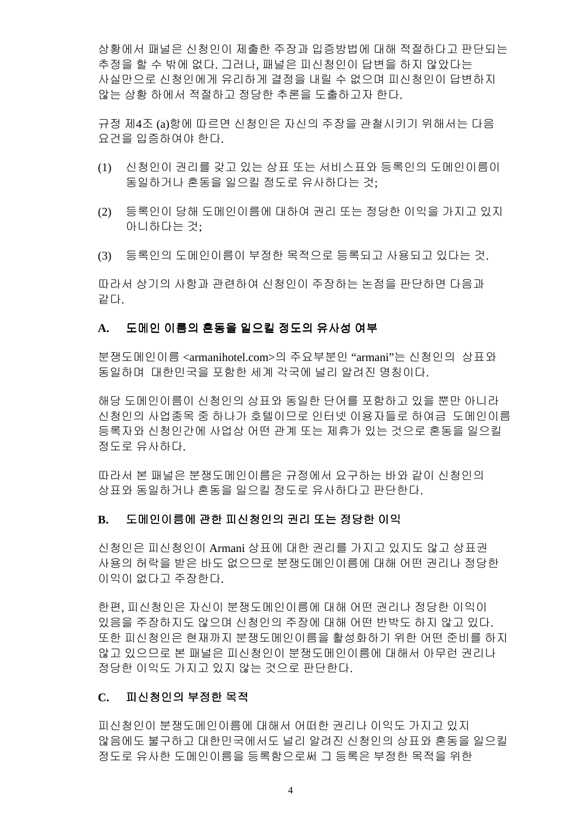상황에서 패널은 신청인이 제출한 주장과 입증방법에 대해 적절하다고 판단되는 추정을 할 수 밖에 없다. 그러나. 패널은 피신청인이 답변을 하지 않았다는 사실만으로 신청인에게 유리하게 결정을 내릴 수 없으며 피신청인이 답변하지 않는 상황 하에서 적절하고 정당한 추론을 도출하고자 한다.

규정 제4조 (a)항에 따르면 신청인은 자신의 주장을 관철시키기 위해서는 다음 요건을 입증하여야 한다.

- (1) 신청인이 권리를 갖고 있는 상표 또는 서비스표와 등록인의 도메인이름이 동일하거나 혼동을 일으킬 정도로 유사하다는 것;
- (2) 등록인이 당해 도메인이름에 대하여 권리 또는 정당한 이익을 가지고 있지 아니하다는 것;
- (3) 등록인의 도메인이름이 부정한 목적으로 등록되고 사용되고 있다는 것.

따라서 상기의 사항과 관련하여 신청인이 주장하는 논점을 판단하면 다음과 같다.

### A. 도메인 이름의 혼동을 일으킬 정도의 유사성 여부

분쟁도메인이름 <armanihotel.com>의 주요부분인 "armani"는 신청인의 상표와 동일하며 대한민국을 포함한 세계 각국에 널리 알려진 명칭이다.

해당 도메인이름이 신청인의 상표와 동일한 단어를 포함하고 있을 뿐만 아니라 신청인의 사업종목 중 하나가 호텔이므로 인터넷 이용자들로 하여금 도메인이름 등록자와 신청인간에 사업상 어떤 관계 또는 제휴가 있는 것으로 혼동을 일으킬 정도로 유사하다.

따라서 본 패널은 분쟁도메인이름은 규정에서 요구하는 바와 같이 신청인의 상표와 동일하거나 혼동을 일으킬 정도로 유사하다고 판단한다.

## B. 도메인이름에 관한 피신청인의 권리 또는 정당한 이익

신청인은 피신청인이 Armani 상표에 대한 권리를 가지고 있지도 않고 상표권 사용의 허락을 받은 바도 없으므로 분쟁도메인이름에 대해 어떤 권리나 정당한 이익이 없다고 주장한다.

한편, 피신청인은 자신이 분쟁도메인이름에 대해 어떤 권리나 정당한 이익이 있음을 주장하지도 않으며 신청인의 주장에 대해 어떤 반박도 하지 않고 있다. 또한 피신청인은 현재까지 분쟁도메인이름을 활성화하기 위한 어떤 준비를 하지 않고 있으므로 본 패널은 피신청인이 분쟁도메인이름에 대해서 아무런 권리나 정당한 이익도 가지고 있지 않는 것으로 판단한다.

### C. 피신청인의 부정한 목적

피신청인이 분쟁도메인이름에 대해서 어떠한 권리나 이익도 가지고 있지 않음에도 불구하고 대한민국에서도 널리 알려진 신청인의 상표와 혼동을 일으킬 정도로 유사한 도메인이름을 등록함으로써 그 등록은 부정한 목적을 위한